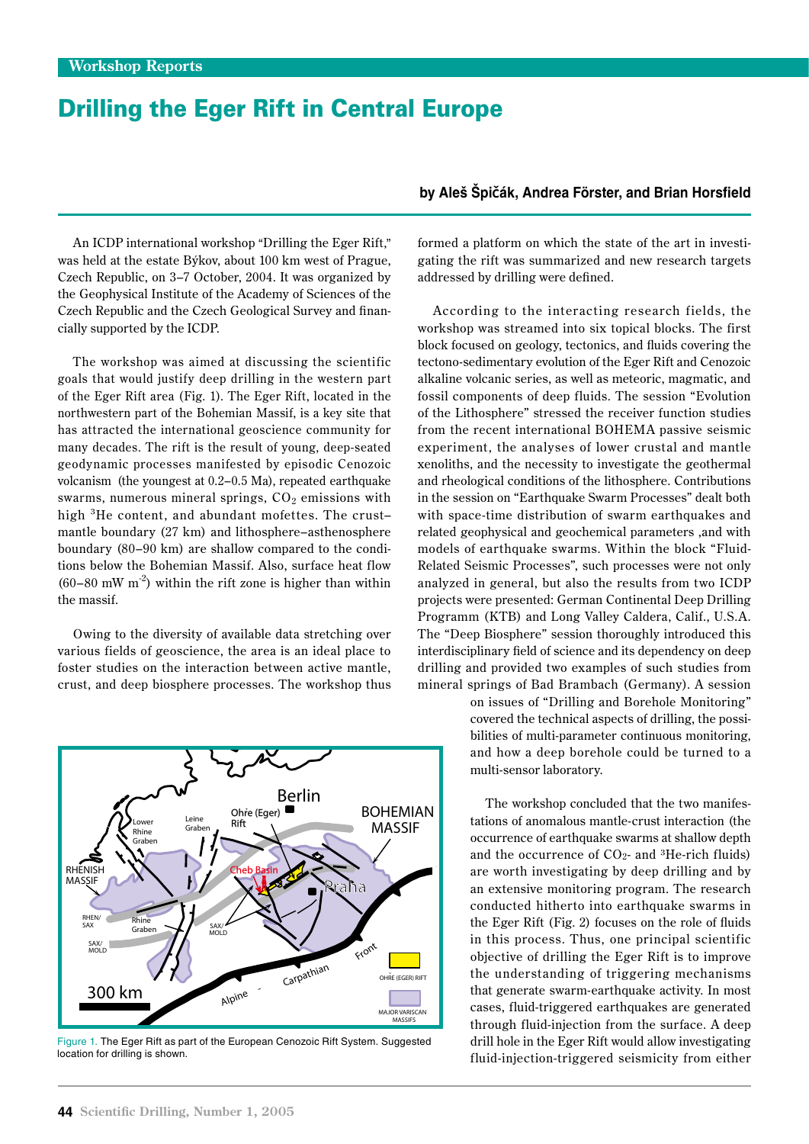## Drilling the Eger Rift in Central Europe

An ICDP international workshop "Drilling the Eger Rift," was held at the estate Býkov, about 100 km west of Prague, Czech Republic, on 3–7 October, 2004. It was organized by the Geophysical Institute of the Academy of Sciences of the Czech Republic and the Czech Geological Survey and financially supported by the ICDP.

The workshop was aimed at discussing the scientific goals that would justify deep drilling in the western part of the Eger Rift area (Fig. 1). The Eger Rift, located in the northwestern part of the Bohemian Massif, is a key site that has attracted the international geoscience community for many decades. The rift is the result of young, deep-seated geodynamic processes manifested by episodic Cenozoic volcanism (the youngest at 0.2–0.5 Ma), repeated earthquake swarms, numerous mineral springs,  $CO<sub>2</sub>$  emissions with high <sup>3</sup>He content, and abundant mofettes. The crust– mantle boundary (27 km) and lithosphere–asthenosphere boundary (80–90 km) are shallow compared to the conditions below the Bohemian Massif. Also, surface heat flow  $(60-80$  mW m<sup>-2</sup>) within the rift zone is higher than within the massif.

Owing to the diversity of available data stretching over various fields of geoscience, the area is an ideal place to foster studies on the interaction between active mantle, crust, and deep biosphere processes. The workshop thus



Figure 1. The Eger Rift as part of the European Cenozoic Rift System. Suggested location for drilling is shown.

## **by Aleš Špičák, Andrea Förster, and Brian Horsfield**

formed a platform on which the state of the art in investigating the rift was summarized and new research targets addressed by drilling were defined.

According to the interacting research fields, the workshop was streamed into six topical blocks. The first block focused on geology, tectonics, and fluids covering the tectono-sedimentary evolution of the Eger Rift and Cenozoic alkaline volcanic series, as well as meteoric, magmatic, and fossil components of deep fluids. The session "Evolution of the Lithosphere" stressed the receiver function studies from the recent international BOHEMA passive seismic experiment, the analyses of lower crustal and mantle xenoliths, and the necessity to investigate the geothermal and rheological conditions of the lithosphere. Contributions in the session on "Earthquake Swarm Processes" dealt both with space-time distribution of swarm earthquakes and related geophysical and geochemical parameters ,and with models of earthquake swarms. Within the block "Fluid-Related Seismic Processes", such processes were not only analyzed in general, but also the results from two ICDP projects were presented: German Continental Deep Drilling Programm (KTB) and Long Valley Caldera, Calif., U.S.A. The "Deep Biosphere" session thoroughly introduced this interdisciplinary field of science and its dependency on deep drilling and provided two examples of such studies from mineral springs of Bad Brambach (Germany). A session

> on issues of "Drilling and Borehole Monitoring" covered the technical aspects of drilling, the possibilities of multi-parameter continuous monitoring, and how a deep borehole could be turned to a multi-sensor laboratory.

> The workshop concluded that the two manifestations of anomalous mantle-crust interaction (the occurrence of earthquake swarms at shallow depth and the occurrence of CO2- and 3He-rich fluids) are worth investigating by deep drilling and by an extensive monitoring program. The research conducted hitherto into earthquake swarms in the Eger Rift (Fig. 2) focuses on the role of fluids in this process. Thus, one principal scientific objective of drilling the Eger Rift is to improve the understanding of triggering mechanisms that generate swarm-earthquake activity. In most cases, fluid-triggered earthquakes are generated through fluid-injection from the surface. A deep drill hole in the Eger Rift would allow investigating fluid-injection-triggered seismicity from either